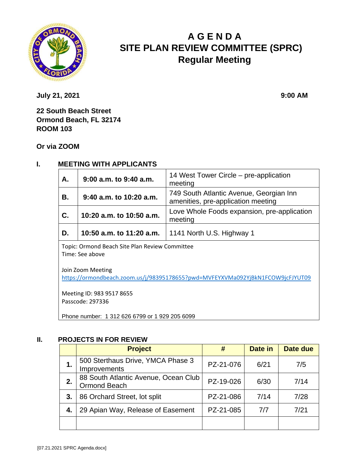

# **A G E N D A SITE PLAN REVIEW COMMITTEE (SPRC) Regular Meeting**

**July 21, 2021 9:00 AM** 

**22 South Beach Street Ormond Beach, FL 32174 ROOM 103**

**Or via ZOOM**

## **I. MEETING WITH APPLICANTS**

| A.        | 9:00 a.m. to 9:40 a.m.   | 14 West Tower Circle – pre-application<br>meeting                             |  |
|-----------|--------------------------|-------------------------------------------------------------------------------|--|
| <b>B.</b> | 9:40 a.m. to 10:20 a.m.  | 749 South Atlantic Avenue, Georgian Inn<br>amenities, pre-application meeting |  |
| C.        | 10:20 a.m. to 10:50 a.m. | Love Whole Foods expansion, pre-application<br>meeting                        |  |
| D.        | 10:50 a.m. to 11:20 a.m. | 1141 North U.S. Highway 1                                                     |  |

Topic: Ormond Beach Site Plan Review Committee Time: See above

Join Zoom Meeting <https://ormondbeach.zoom.us/j/98395178655?pwd=MVFEYXVMa092YjBkN1FCOW9jcFJYUT09>

Meeting ID: 983 9517 8655 Passcode: 297336

Phone number: 1 312 626 6799 or 1 929 205 6099

#### **II. PROJECTS IN FOR REVIEW**

|    | <b>Project</b>                                              | #         | Date in | Date due |
|----|-------------------------------------------------------------|-----------|---------|----------|
| 1. | 500 Sterthaus Drive, YMCA Phase 3<br>Improvements           | PZ-21-076 | 6/21    | 7/5      |
| 2. | 88 South Atlantic Avenue, Ocean Club<br><b>Ormond Beach</b> | PZ-19-026 | 6/30    | 7/14     |
| 3. | 86 Orchard Street, lot split                                | PZ-21-086 | 7/14    | 7/28     |
| 4. | 29 Apian Way, Release of Easement                           | PZ-21-085 | 7/7     | 7/21     |
|    |                                                             |           |         |          |